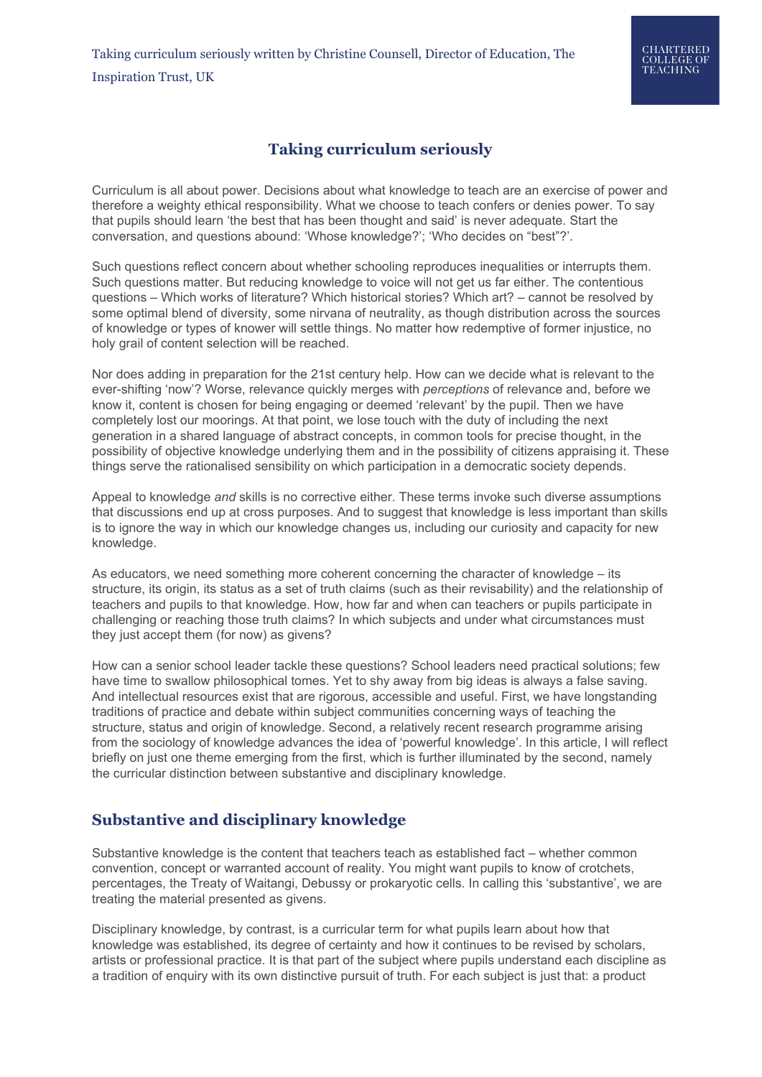## **Taking curriculum seriously**

Curriculum is all about power. Decisions about what knowledge to teach are an exercise of power and therefore a weighty ethical responsibility. What we choose to teach confers or denies power. To say that pupils should learn 'the best that has been thought and said' is never adequate. Start the conversation, and questions abound: 'Whose knowledge?'; 'Who decides on "best"?'.

Such questions reflect concern about whether schooling reproduces inequalities or interrupts them. Such questions matter. But reducing knowledge to voice will not get us far either. The contentious questions – Which works of literature? Which historical stories? Which art? – cannot be resolved by some optimal blend of diversity, some nirvana of neutrality, as though distribution across the sources of knowledge or types of knower will settle things. No matter how redemptive of former injustice, no holy grail of content selection will be reached.

Nor does adding in preparation for the 21st century help. How can we decide what is relevant to the ever-shifting 'now'? Worse, relevance quickly merges with *perceptions* of relevance and, before we know it, content is chosen for being engaging or deemed 'relevant' by the pupil. Then we have completely lost our moorings. At that point, we lose touch with the duty of including the next generation in a shared language of abstract concepts, in common tools for precise thought, in the possibility of objective knowledge underlying them and in the possibility of citizens appraising it. These things serve the rationalised sensibility on which participation in a democratic society depends.

Appeal to knowledge *and* skills is no corrective either. These terms invoke such diverse assumptions that discussions end up at cross purposes. And to suggest that knowledge is less important than skills is to ignore the way in which our knowledge changes us, including our curiosity and capacity for new knowledge.

As educators, we need something more coherent concerning the character of knowledge – its structure, its origin, its status as a set of truth claims (such as their revisability) and the relationship of teachers and pupils to that knowledge. How, how far and when can teachers or pupils participate in challenging or reaching those truth claims? In which subjects and under what circumstances must they just accept them (for now) as givens?

How can a senior school leader tackle these questions? School leaders need practical solutions; few have time to swallow philosophical tomes. Yet to shy away from big ideas is always a false saving. And intellectual resources exist that are rigorous, accessible and useful. First, we have longstanding traditions of practice and debate within subject communities concerning ways of teaching the structure, status and origin of knowledge. Second, a relatively recent research programme arising from the sociology of knowledge advances the idea of 'powerful knowledge'. In this article, I will reflect briefly on just one theme emerging from the first, which is further illuminated by the second, namely the curricular distinction between substantive and disciplinary knowledge.

## **Substantive and disciplinary knowledge**

Substantive knowledge is the content that teachers teach as established fact – whether common convention, concept or warranted account of reality. You might want pupils to know of crotchets, percentages, the Treaty of Waitangi, Debussy or prokaryotic cells. In calling this 'substantive', we are treating the material presented as givens.

Disciplinary knowledge, by contrast, is a curricular term for what pupils learn about how that knowledge was established, its degree of certainty and how it continues to be revised by scholars, artists or professional practice. It is that part of the subject where pupils understand each discipline as a tradition of enquiry with its own distinctive pursuit of truth. For each subject is just that: a product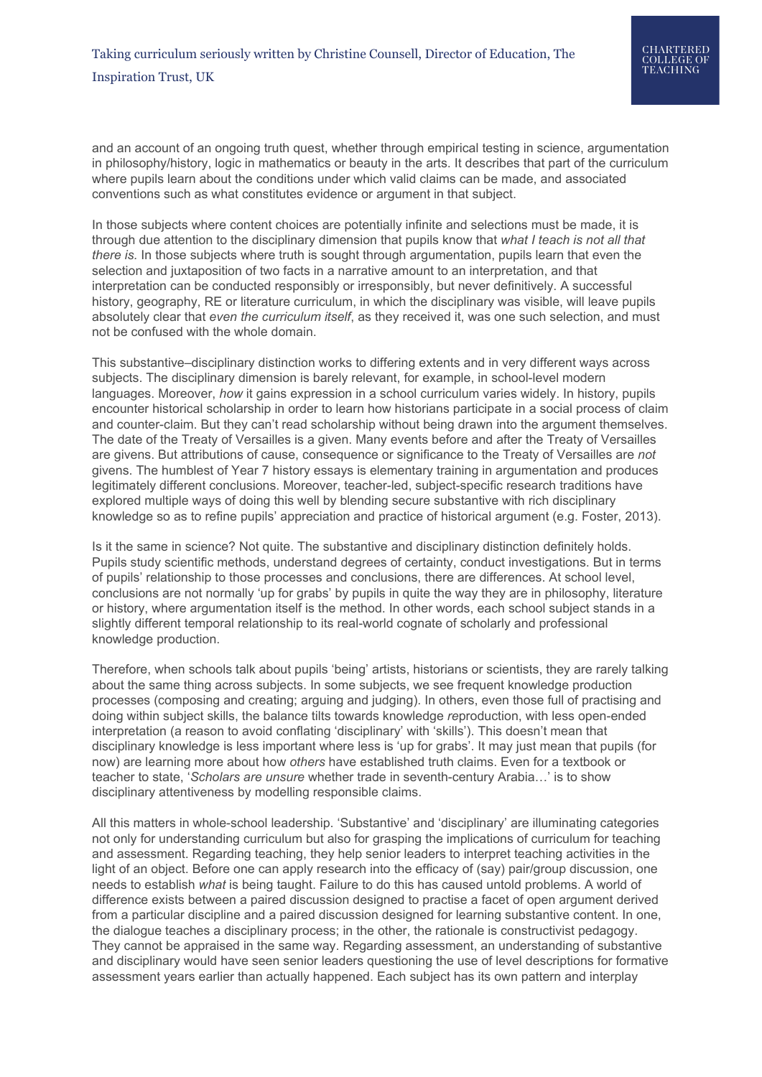and an account of an ongoing truth quest, whether through empirical testing in science, argumentation in philosophy/history, logic in mathematics or beauty in the arts. It describes that part of the curriculum where pupils learn about the conditions under which valid claims can be made, and associated conventions such as what constitutes evidence or argument in that subject.

In those subjects where content choices are potentially infinite and selections must be made, it is through due attention to the disciplinary dimension that pupils know that *what I teach is not all that there is.* In those subjects where truth is sought through argumentation, pupils learn that even the selection and juxtaposition of two facts in a narrative amount to an interpretation, and that interpretation can be conducted responsibly or irresponsibly, but never definitively. A successful history, geography, RE or literature curriculum, in which the disciplinary was visible, will leave pupils absolutely clear that *even the curriculum itself*, as they received it, was one such selection, and must not be confused with the whole domain.

This substantive–disciplinary distinction works to differing extents and in very different ways across subjects. The disciplinary dimension is barely relevant, for example, in school-level modern languages. Moreover, *how* it gains expression in a school curriculum varies widely. In history, pupils encounter historical scholarship in order to learn how historians participate in a social process of claim and counter-claim. But they can't read scholarship without being drawn into the argument themselves. The date of the Treaty of Versailles is a given. Many events before and after the Treaty of Versailles are givens. But attributions of cause, consequence or significance to the Treaty of Versailles are *not* givens. The humblest of Year 7 history essays is elementary training in argumentation and produces legitimately different conclusions. Moreover, teacher-led, subject-specific research traditions have explored multiple ways of doing this well by blending secure substantive with rich disciplinary knowledge so as to refine pupils' appreciation and practice of historical argument (e.g. Foster, 2013).

Is it the same in science? Not quite. The substantive and disciplinary distinction definitely holds. Pupils study scientific methods, understand degrees of certainty, conduct investigations. But in terms of pupils' relationship to those processes and conclusions, there are differences. At school level, conclusions are not normally 'up for grabs' by pupils in quite the way they are in philosophy, literature or history, where argumentation itself is the method. In other words, each school subject stands in a slightly different temporal relationship to its real-world cognate of scholarly and professional knowledge production.

Therefore, when schools talk about pupils 'being' artists, historians or scientists, they are rarely talking about the same thing across subjects. In some subjects, we see frequent knowledge production processes (composing and creating; arguing and judging). In others, even those full of practising and doing within subject skills, the balance tilts towards knowledge *re*production, with less open-ended interpretation (a reason to avoid conflating 'disciplinary' with 'skills'). This doesn't mean that disciplinary knowledge is less important where less is 'up for grabs'. It may just mean that pupils (for now) are learning more about how *others* have established truth claims. Even for a textbook or teacher to state, '*Scholars are unsure* whether trade in seventh-century Arabia…' is to show disciplinary attentiveness by modelling responsible claims.

All this matters in whole-school leadership. 'Substantive' and 'disciplinary' are illuminating categories not only for understanding curriculum but also for grasping the implications of curriculum for teaching and assessment. Regarding teaching, they help senior leaders to interpret teaching activities in the light of an object. Before one can apply research into the efficacy of (say) pair/group discussion, one needs to establish *what* is being taught. Failure to do this has caused untold problems. A world of difference exists between a paired discussion designed to practise a facet of open argument derived from a particular discipline and a paired discussion designed for learning substantive content. In one, the dialogue teaches a disciplinary process; in the other, the rationale is constructivist pedagogy. They cannot be appraised in the same way. Regarding assessment, an understanding of substantive and disciplinary would have seen senior leaders questioning the use of level descriptions for formative assessment years earlier than actually happened. Each subject has its own pattern and interplay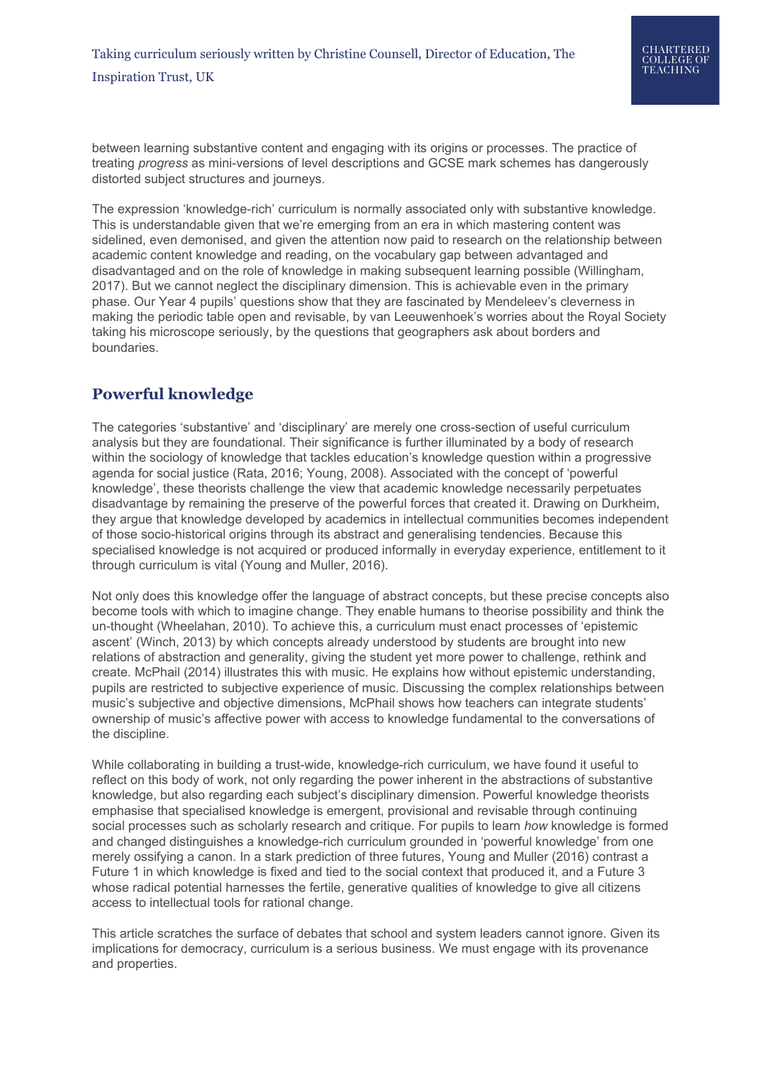between learning substantive content and engaging with its origins or processes. The practice of treating *progress* as mini-versions of level descriptions and GCSE mark schemes has dangerously distorted subject structures and journeys.

The expression 'knowledge-rich' curriculum is normally associated only with substantive knowledge. This is understandable given that we're emerging from an era in which mastering content was sidelined, even demonised, and given the attention now paid to research on the relationship between academic content knowledge and reading, on the vocabulary gap between advantaged and disadvantaged and on the role of knowledge in making subsequent learning possible (Willingham, 2017). But we cannot neglect the disciplinary dimension. This is achievable even in the primary phase. Our Year 4 pupils' questions show that they are fascinated by Mendeleev's cleverness in making the periodic table open and revisable, by van Leeuwenhoek's worries about the Royal Society taking his microscope seriously, by the questions that geographers ask about borders and boundaries.

## **Powerful knowledge**

The categories 'substantive' and 'disciplinary' are merely one cross-section of useful curriculum analysis but they are foundational. Their significance is further illuminated by a body of research within the sociology of knowledge that tackles education's knowledge question within a progressive agenda for social justice (Rata, 2016; Young, 2008). Associated with the concept of 'powerful knowledge', these theorists challenge the view that academic knowledge necessarily perpetuates disadvantage by remaining the preserve of the powerful forces that created it. Drawing on Durkheim, they argue that knowledge developed by academics in intellectual communities becomes independent of those socio-historical origins through its abstract and generalising tendencies. Because this specialised knowledge is not acquired or produced informally in everyday experience, entitlement to it through curriculum is vital (Young and Muller, 2016).

Not only does this knowledge offer the language of abstract concepts, but these precise concepts also become tools with which to imagine change. They enable humans to theorise possibility and think the un-thought (Wheelahan, 2010). To achieve this, a curriculum must enact processes of 'epistemic ascent' (Winch, 2013) by which concepts already understood by students are brought into new relations of abstraction and generality, giving the student yet more power to challenge, rethink and create. McPhail (2014) illustrates this with music. He explains how without epistemic understanding, pupils are restricted to subjective experience of music. Discussing the complex relationships between music's subjective and objective dimensions, McPhail shows how teachers can integrate students' ownership of music's affective power with access to knowledge fundamental to the conversations of the discipline.

While collaborating in building a trust-wide, knowledge-rich curriculum, we have found it useful to reflect on this body of work, not only regarding the power inherent in the abstractions of substantive knowledge, but also regarding each subject's disciplinary dimension. Powerful knowledge theorists emphasise that specialised knowledge is emergent, provisional and revisable through continuing social processes such as scholarly research and critique. For pupils to learn *how* knowledge is formed and changed distinguishes a knowledge-rich curriculum grounded in 'powerful knowledge' from one merely ossifying a canon. In a stark prediction of three futures, Young and Muller (2016) contrast a Future 1 in which knowledge is fixed and tied to the social context that produced it, and a Future 3 whose radical potential harnesses the fertile, generative qualities of knowledge to give all citizens access to intellectual tools for rational change.

This article scratches the surface of debates that school and system leaders cannot ignore. Given its implications for democracy, curriculum is a serious business. We must engage with its provenance and properties.